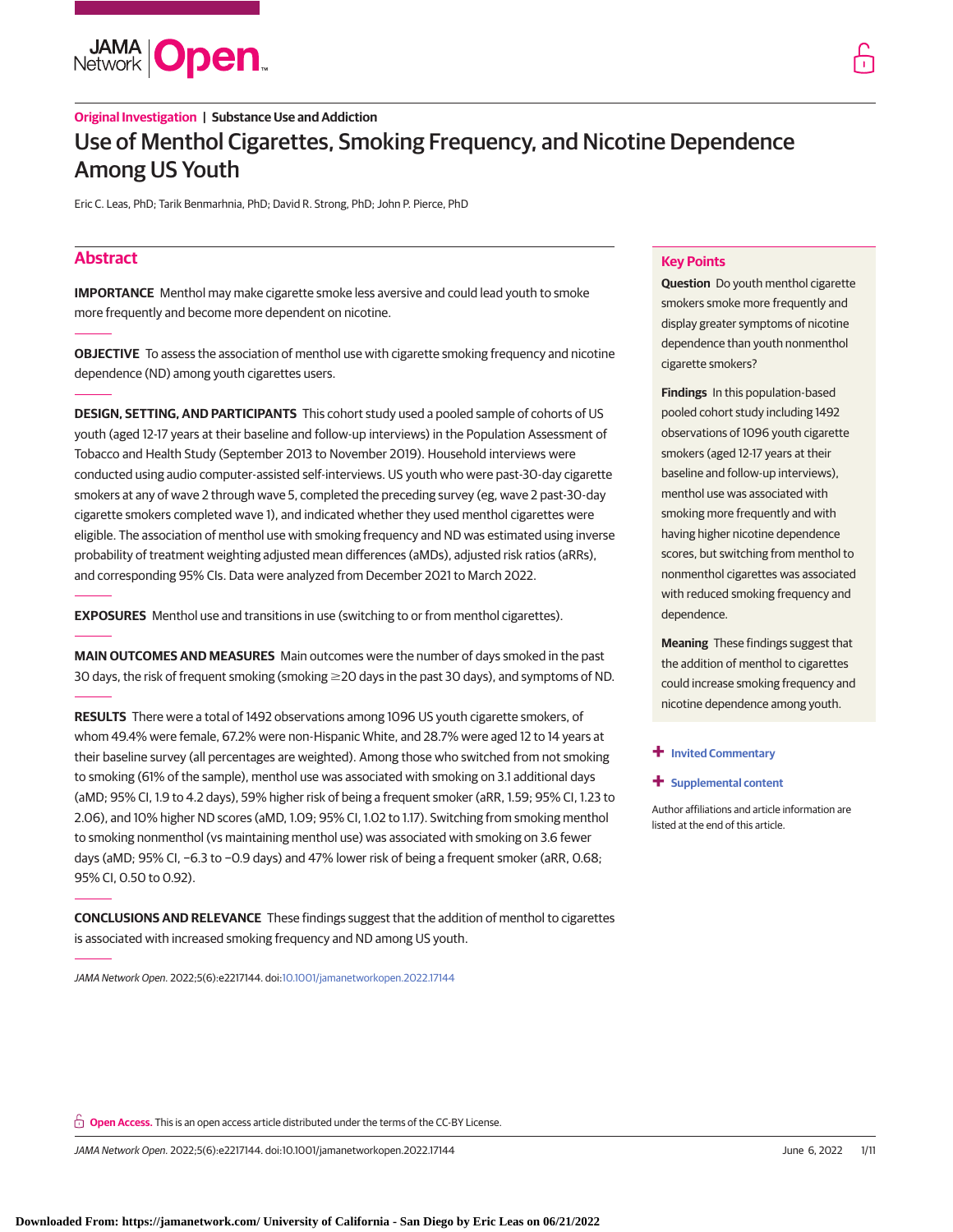

# **Original Investigation | Substance Use and Addiction** Use of Menthol Cigarettes, Smoking Frequency, and Nicotine Dependence Among US Youth

Eric C. Leas, PhD; Tarik Benmarhnia, PhD; David R. Strong, PhD; John P. Pierce, PhD

# **Abstract**

**IMPORTANCE** Menthol may make cigarette smoke less aversive and could lead youth to smoke more frequently and become more dependent on nicotine.

**OBJECTIVE** To assess the association of menthol use with cigarette smoking frequency and nicotine dependence (ND) among youth cigarettes users.

**DESIGN, SETTING, AND PARTICIPANTS** This cohort study used a pooled sample of cohorts of US youth (aged 12-17 years at their baseline and follow-up interviews) in the Population Assessment of Tobacco and Health Study (September 2013 to November 2019). Household interviews were conducted using audio computer-assisted self-interviews. US youth who were past-30-day cigarette smokers at any of wave 2 through wave 5, completed the preceding survey (eg, wave 2 past-30-day cigarette smokers completed wave 1), and indicated whether they used menthol cigarettes were eligible. The association of menthol use with smoking frequency and ND was estimated using inverse probability of treatment weighting adjusted mean differences (aMDs), adjusted risk ratios (aRRs), and corresponding 95% CIs. Data were analyzed from December 2021 to March 2022.

**EXPOSURES** Menthol use and transitions in use (switching to or from menthol cigarettes).

**MAIN OUTCOMES AND MEASURES** Main outcomes were the number of days smoked in the past 30 days, the risk of frequent smoking (smoking  $\geq$  20 days in the past 30 days), and symptoms of ND.

**RESULTS** There were a total of 1492 observations among 1096 US youth cigarette smokers, of whom 49.4% were female, 67.2% were non-Hispanic White, and 28.7% were aged 12 to 14 years at their baseline survey (all percentages are weighted). Among those who switched from not smoking to smoking (61% of the sample), menthol use was associated with smoking on 3.1 additional days (aMD; 95% CI, 1.9 to 4.2 days), 59% higher risk of being a frequent smoker (aRR, 1.59; 95% CI, 1.23 to 2.06), and 10% higher ND scores (aMD, 1.09; 95% CI, 1.02 to 1.17). Switching from smoking menthol to smoking nonmenthol (vs maintaining menthol use) was associated with smoking on 3.6 fewer days (aMD; 95% CI, −6.3 to −0.9 days) and 47% lower risk of being a frequent smoker (aRR, 0.68; 95% CI, 0.50 to 0.92).

**CONCLUSIONS AND RELEVANCE** These findings suggest that the addition of menthol to cigarettes is associated with increased smoking frequency and ND among US youth.

JAMA Network Open. 2022;5(6):e2217144. doi[:10.1001/jamanetworkopen.2022.17144](https://jama.jamanetwork.com/article.aspx?doi=10.1001/jamanetworkopen.2022.17144&utm_campaign=articlePDF%26utm_medium=articlePDFlink%26utm_source=articlePDF%26utm_content=jamanetworkopen.2022.17144)

### **Key Points**

**Question** Do youth menthol cigarette smokers smoke more frequently and display greater symptoms of nicotine dependence than youth nonmenthol cigarette smokers?

**Findings** In this population-based pooled cohort study including 1492 observations of 1096 youth cigarette smokers (aged 12-17 years at their baseline and follow-up interviews), menthol use was associated with smoking more frequently and with having higher nicotine dependence scores, but switching from menthol to nonmenthol cigarettes was associated with reduced smoking frequency and dependence.

**Meaning** These findings suggest that the addition of menthol to cigarettes could increase smoking frequency and nicotine dependence among youth.

#### **+ [Invited Commentary](https://jama.jamanetwork.com/article.aspx?doi=10.1001/jamanetworkopen.2022.17150&utm_campaign=articlePDF%26utm_medium=articlePDFlink%26utm_source=articlePDF%26utm_content=jamanetworkopen.2022.17144)**

#### **+ [Supplemental content](https://jama.jamanetwork.com/article.aspx?doi=10.1001/jamanetworkopen.2022.17144&utm_campaign=articlePDF%26utm_medium=articlePDFlink%26utm_source=articlePDF%26utm_content=jamanetworkopen.2022.17144)**

Author affiliations and article information are listed at the end of this article.

**Open Access.** This is an open access article distributed under the terms of the CC-BY License.

JAMA Network Open. 2022;5(6):e2217144. doi:10.1001/jamanetworkopen.2022.17144 (Reprinted) June 6, 2022 1/11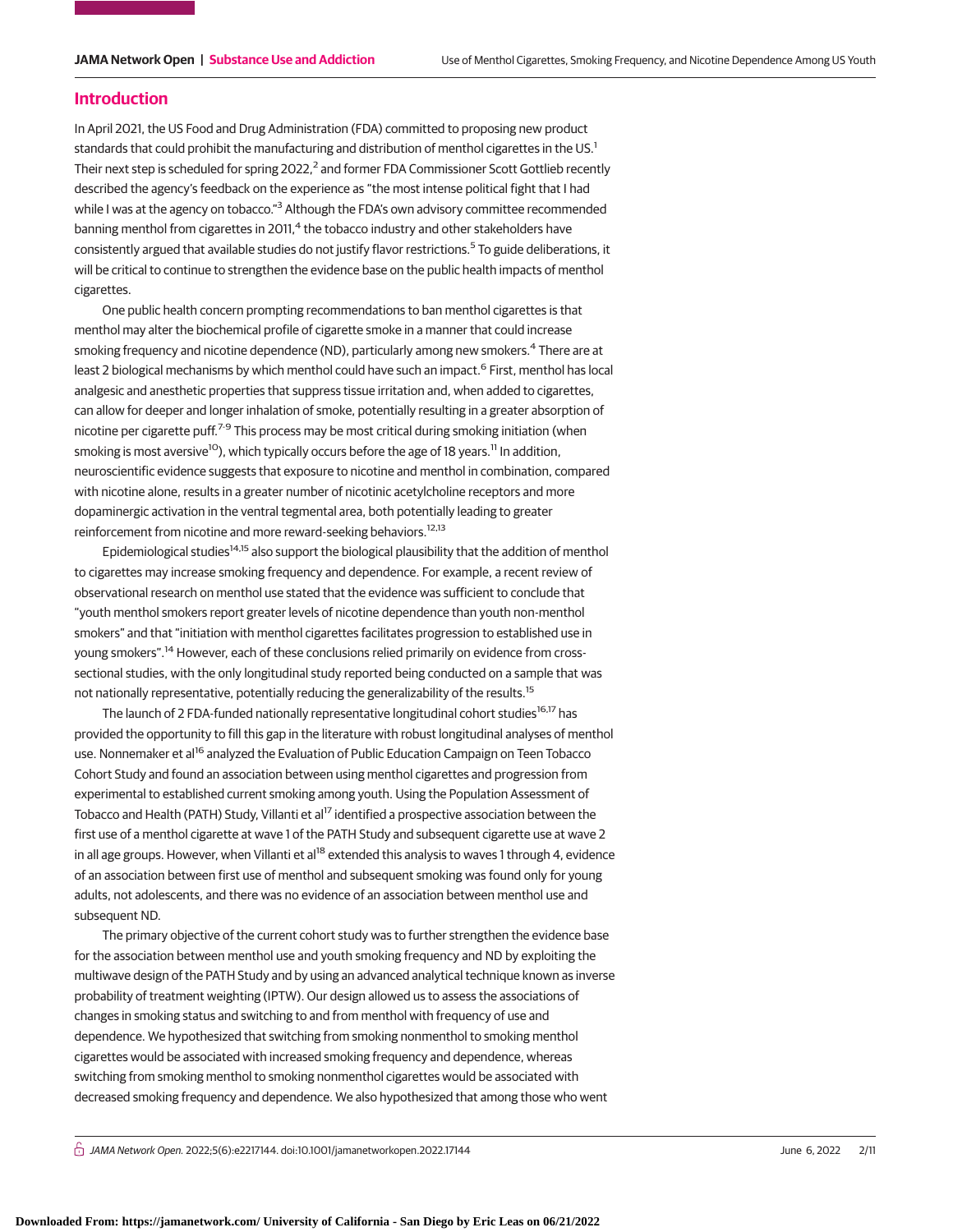### **Introduction**

In April 2021, the US Food and Drug Administration (FDA) committed to proposing new product standards that could prohibit the manufacturing and distribution of menthol cigarettes in the US.<sup>1</sup> Their next step is scheduled for spring  $2022<sup>2</sup>$  and former FDA Commissioner Scott Gottlieb recently described the agency's feedback on the experience as "the most intense political fight that I had while I was at the agency on tobacco."<sup>3</sup> Although the FDA's own advisory committee recommended banning menthol from cigarettes in 2011,<sup>4</sup> the tobacco industry and other stakeholders have consistently argued that available studies do not justify flavor restrictions.<sup>5</sup> To guide deliberations, it will be critical to continue to strengthen the evidence base on the public health impacts of menthol cigarettes.

One public health concern prompting recommendations to ban menthol cigarettes is that menthol may alter the biochemical profile of cigarette smoke in a manner that could increase smoking frequency and nicotine dependence (ND), particularly among new smokers.<sup>4</sup> There are at least 2 biological mechanisms by which menthol could have such an impact.<sup>6</sup> First, menthol has local analgesic and anesthetic properties that suppress tissue irritation and, when added to cigarettes, can allow for deeper and longer inhalation of smoke, potentially resulting in a greater absorption of nicotine per cigarette puff.<sup>7-9</sup> This process may be most critical during smoking initiation (when smoking is most aversive<sup>10</sup>), which typically occurs before the age of 18 years.<sup>11</sup> In addition, neuroscientific evidence suggests that exposure to nicotine and menthol in combination, compared with nicotine alone, results in a greater number of nicotinic acetylcholine receptors and more dopaminergic activation in the ventral tegmental area, both potentially leading to greater reinforcement from nicotine and more reward-seeking behaviors.12,13

Epidemiological studies<sup>14,15</sup> also support the biological plausibility that the addition of menthol to cigarettes may increase smoking frequency and dependence. For example, a recent review of observational research on menthol use stated that the evidence was sufficient to conclude that "youth menthol smokers report greater levels of nicotine dependence than youth non-menthol smokers" and that "initiation with menthol cigarettes facilitates progression to established use in young smokers".<sup>14</sup> However, each of these conclusions relied primarily on evidence from crosssectional studies, with the only longitudinal study reported being conducted on a sample that was not nationally representative, potentially reducing the generalizability of the results.<sup>15</sup>

The launch of 2 FDA-funded nationally representative longitudinal cohort studies<sup>16,17</sup> has provided the opportunity to fill this gap in the literature with robust longitudinal analyses of menthol use. Nonnemaker et al<sup>16</sup> analyzed the Evaluation of Public Education Campaign on Teen Tobacco Cohort Study and found an association between using menthol cigarettes and progression from experimental to established current smoking among youth. Using the Population Assessment of Tobacco and Health (PATH) Study, Villanti et al<sup>17</sup> identified a prospective association between the first use of a menthol cigarette at wave 1 of the PATH Study and subsequent cigarette use at wave 2 in all age groups. However, when Villanti et al<sup>18</sup> extended this analysis to waves 1 through 4, evidence of an association between first use of menthol and subsequent smoking was found only for young adults, not adolescents, and there was no evidence of an association between menthol use and subsequent ND.

The primary objective of the current cohort study was to further strengthen the evidence base for the association between menthol use and youth smoking frequency and ND by exploiting the multiwave design of the PATH Study and by using an advanced analytical technique known as inverse probability of treatment weighting (IPTW). Our design allowed us to assess the associations of changes in smoking status and switching to and from menthol with frequency of use and dependence. We hypothesized that switching from smoking nonmenthol to smoking menthol cigarettes would be associated with increased smoking frequency and dependence, whereas switching from smoking menthol to smoking nonmenthol cigarettes would be associated with decreased smoking frequency and dependence. We also hypothesized that among those who went

 $\bigcap$  JAMA Network Open. 2022;5(6):e2217144. doi:10.1001/jamanetworkopen.2022.17144 June 6, 2022 2/11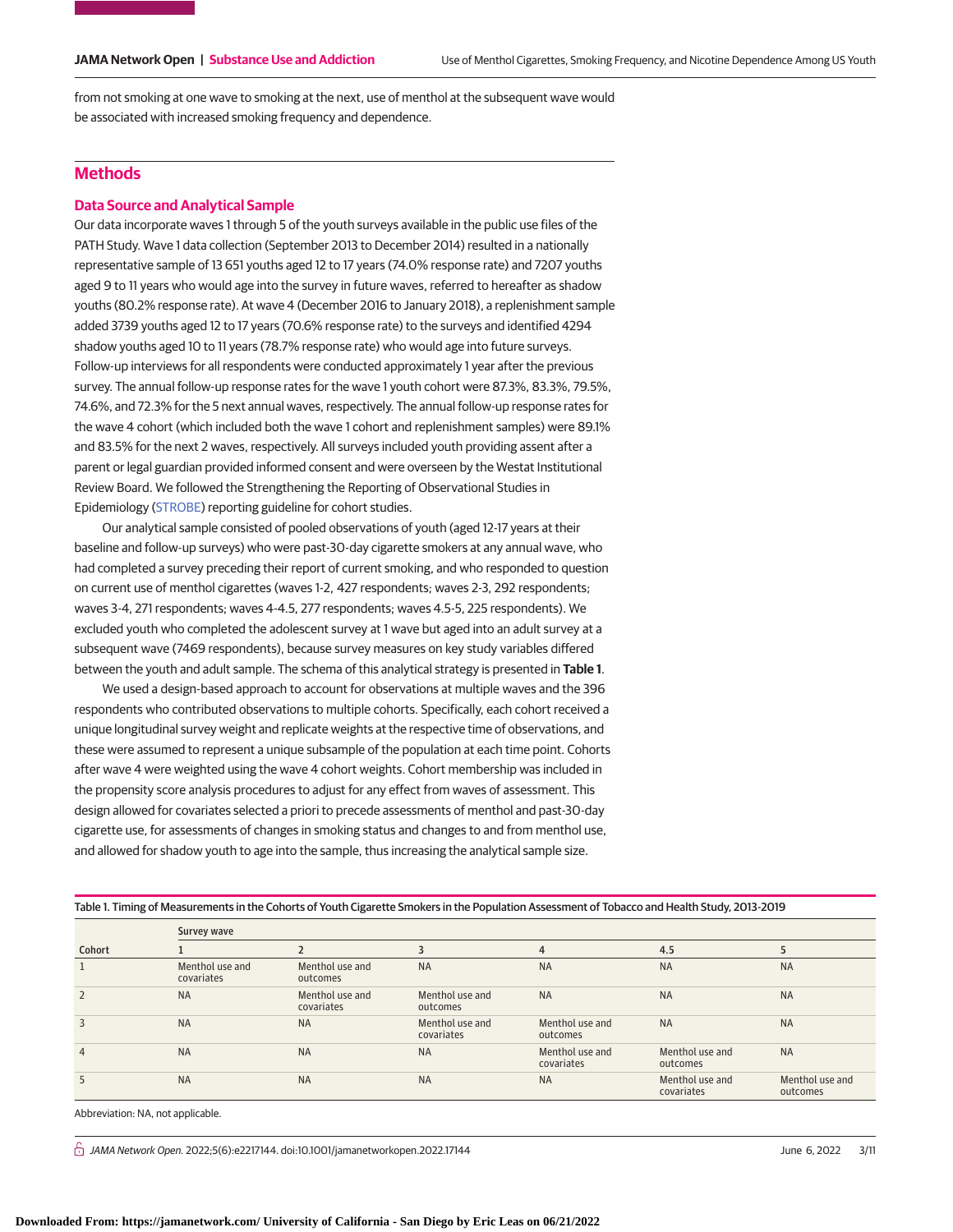from not smoking at one wave to smoking at the next, use of menthol at the subsequent wave would be associated with increased smoking frequency and dependence.

# **Methods**

# **Data Source and Analytical Sample**

Our data incorporate waves 1 through 5 of the youth surveys available in the public use files of the PATH Study. Wave 1 data collection (September 2013 to December 2014) resulted in a nationally representative sample of 13 651 youths aged 12 to 17 years (74.0% response rate) and 7207 youths aged 9 to 11 years who would age into the survey in future waves, referred to hereafter as shadow youths (80.2% response rate). At wave 4 (December 2016 to January 2018), a replenishment sample added 3739 youths aged 12 to 17 years (70.6% response rate) to the surveys and identified 4294 shadow youths aged 10 to 11 years (78.7% response rate) who would age into future surveys. Follow-up interviews for all respondents were conducted approximately 1 year after the previous survey. The annual follow-up response rates for the wave 1 youth cohort were 87.3%, 83.3%, 79.5%, 74.6%, and 72.3% for the 5 next annual waves, respectively. The annual follow-up response rates for the wave 4 cohort (which included both the wave 1 cohort and replenishment samples) were 89.1% and 83.5% for the next 2 waves, respectively. All surveys included youth providing assent after a parent or legal guardian provided informed consent and were overseen by the Westat Institutional Review Board. We followed the Strengthening the Reporting of Observational Studies in Epidemiology [\(STROBE\)](http://www.equator-network.org/reporting-guidelines/strobe/) reporting guideline for cohort studies.

Our analytical sample consisted of pooled observations of youth (aged 12-17 years at their baseline and follow-up surveys) who were past-30-day cigarette smokers at any annual wave, who had completed a survey preceding their report of current smoking, and who responded to question on current use of menthol cigarettes (waves 1-2, 427 respondents; waves 2-3, 292 respondents; waves 3-4, 271 respondents; waves 4-4.5, 277 respondents; waves 4.5-5, 225 respondents). We excluded youth who completed the adolescent survey at 1 wave but aged into an adult survey at a subsequent wave (7469 respondents), because survey measures on key study variables differed between the youth and adult sample. The schema of this analytical strategy is presented in **Table 1**.

We used a design-based approach to account for observations at multiple waves and the 396 respondents who contributed observations to multiple cohorts. Specifically, each cohort received a unique longitudinal survey weight and replicate weights at the respective time of observations, and these were assumed to represent a unique subsample of the population at each time point. Cohorts after wave 4 were weighted using the wave 4 cohort weights. Cohort membership was included in the propensity score analysis procedures to adjust for any effect from waves of assessment. This design allowed for covariates selected a priori to precede assessments of menthol and past-30-day cigarette use, for assessments of changes in smoking status and changes to and from menthol use, and allowed for shadow youth to age into the sample, thus increasing the analytical sample size.

| Table 1. Timing of Measurements in the Cohorts of Youth Cigarette Smokers in the Population Assessment of Tobacco and Health Study, 2013-2019 |  |
|-----------------------------------------------------------------------------------------------------------------------------------------------|--|
|-----------------------------------------------------------------------------------------------------------------------------------------------|--|

|                | Survey wave                   |                               |                               |                               |                               |                             |  |  |  |  |  |
|----------------|-------------------------------|-------------------------------|-------------------------------|-------------------------------|-------------------------------|-----------------------------|--|--|--|--|--|
| Cohort         |                               |                               |                               | 4                             | 4.5                           |                             |  |  |  |  |  |
|                | Menthol use and<br>covariates | Menthol use and<br>outcomes   | <b>NA</b>                     | <b>NA</b>                     | <b>NA</b>                     | <b>NA</b>                   |  |  |  |  |  |
| $\overline{2}$ | <b>NA</b>                     | Menthol use and<br>covariates | Menthol use and<br>outcomes   | <b>NA</b>                     | <b>NA</b>                     | <b>NA</b>                   |  |  |  |  |  |
| 3              | <b>NA</b>                     | <b>NA</b>                     | Menthol use and<br>covariates | Menthol use and<br>outcomes   | <b>NA</b>                     | <b>NA</b>                   |  |  |  |  |  |
| $\overline{4}$ | <b>NA</b>                     | <b>NA</b>                     | <b>NA</b>                     | Menthol use and<br>covariates | Menthol use and<br>outcomes   | <b>NA</b>                   |  |  |  |  |  |
| 5              | <b>NA</b>                     | <b>NA</b>                     | <b>NA</b>                     | <b>NA</b>                     | Menthol use and<br>covariates | Menthol use and<br>outcomes |  |  |  |  |  |

Abbreviation: NA, not applicable.

 $\bigcap$  JAMA Network Open. 2022;5(6):e2217144. doi:10.1001/jamanetworkopen.2022.17144 June 6, 2022 3/11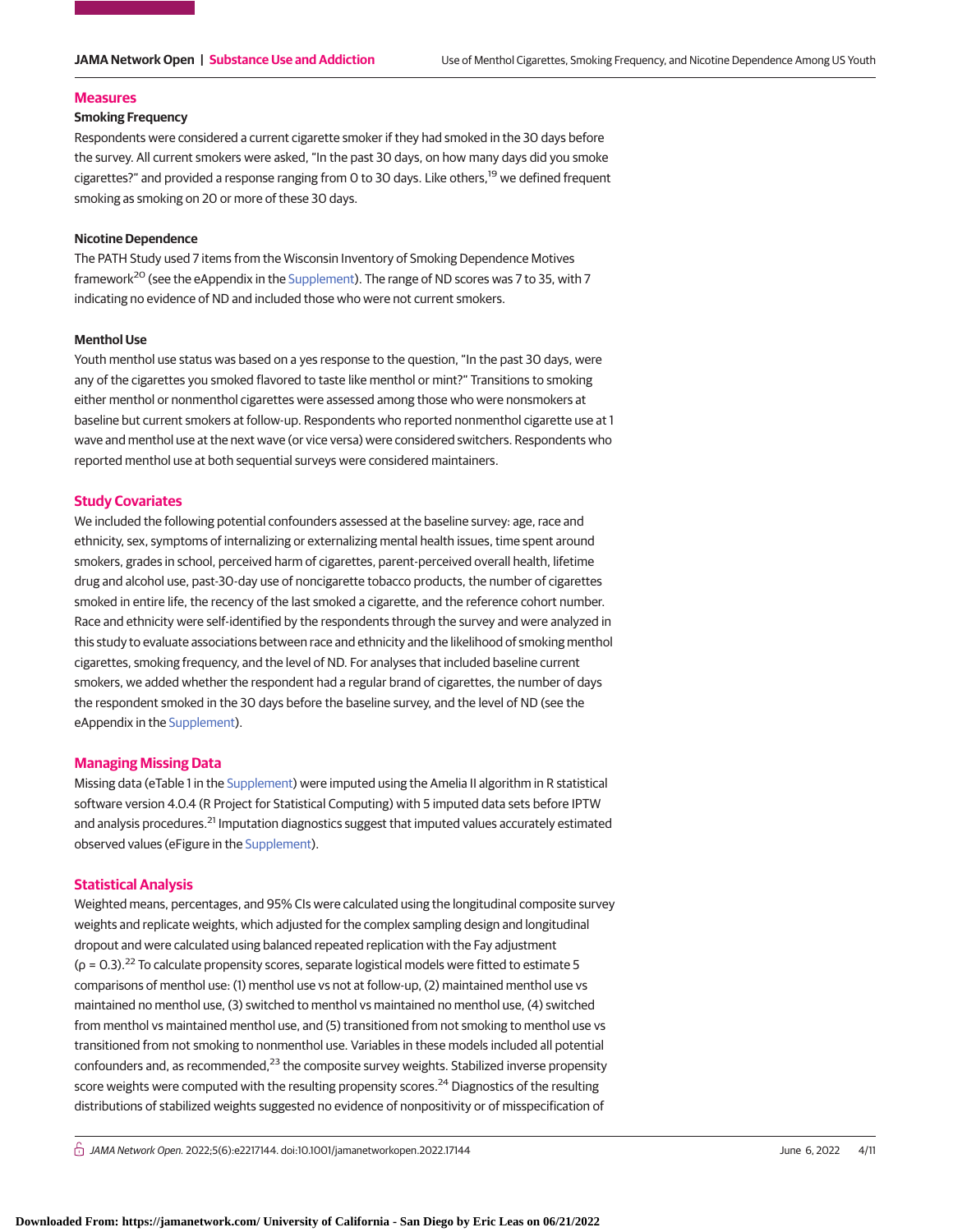#### **Measures**

# **Smoking Frequency**

Respondents were considered a current cigarette smoker if they had smoked in the 30 days before the survey. All current smokers were asked, "In the past 30 days, on how many days did you smoke cigarettes?" and provided a response ranging from 0 to 30 days. Like others,<sup>19</sup> we defined frequent smoking as smoking on 20 or more of these 30 days.

### **Nicotine Dependence**

The PATH Study used 7 items from the Wisconsin Inventory of Smoking Dependence Motives framework<sup>20</sup> (see the eAppendix in the [Supplement\)](https://jama.jamanetwork.com/article.aspx?doi=10.1001/jamanetworkopen.2022.17144&utm_campaign=articlePDF%26utm_medium=articlePDFlink%26utm_source=articlePDF%26utm_content=jamanetworkopen.2022.17144). The range of ND scores was 7 to 35, with 7 indicating no evidence of ND and included those who were not current smokers.

#### **Menthol Use**

Youth menthol use status was based on a yes response to the question, "In the past 30 days, were any of the cigarettes you smoked flavored to taste like menthol or mint?" Transitions to smoking either menthol or nonmenthol cigarettes were assessed among those who were nonsmokers at baseline but current smokers at follow-up. Respondents who reported nonmenthol cigarette use at 1 wave and menthol use at the next wave (or vice versa) were considered switchers. Respondents who reported menthol use at both sequential surveys were considered maintainers.

### **Study Covariates**

We included the following potential confounders assessed at the baseline survey: age, race and ethnicity, sex, symptoms of internalizing or externalizing mental health issues, time spent around smokers, grades in school, perceived harm of cigarettes, parent-perceived overall health, lifetime drug and alcohol use, past-30-day use of noncigarette tobacco products, the number of cigarettes smoked in entire life, the recency of the last smoked a cigarette, and the reference cohort number. Race and ethnicity were self-identified by the respondents through the survey and were analyzed in this study to evaluate associations between race and ethnicity and the likelihood of smoking menthol cigarettes, smoking frequency, and the level of ND. For analyses that included baseline current smokers, we added whether the respondent had a regular brand of cigarettes, the number of days the respondent smoked in the 30 days before the baseline survey, and the level of ND (see the eAppendix in the [Supplement\)](https://jama.jamanetwork.com/article.aspx?doi=10.1001/jamanetworkopen.2022.17144&utm_campaign=articlePDF%26utm_medium=articlePDFlink%26utm_source=articlePDF%26utm_content=jamanetworkopen.2022.17144).

#### **Managing Missing Data**

Missing data (eTable 1 in the [Supplement\)](https://jama.jamanetwork.com/article.aspx?doi=10.1001/jamanetworkopen.2022.17144&utm_campaign=articlePDF%26utm_medium=articlePDFlink%26utm_source=articlePDF%26utm_content=jamanetworkopen.2022.17144) were imputed using the Amelia II algorithm in R statistical software version 4.0.4 (R Project for Statistical Computing) with 5 imputed data sets before IPTW and analysis procedures.<sup>21</sup> Imputation diagnostics suggest that imputed values accurately estimated observed values (eFigure in the [Supplement\)](https://jama.jamanetwork.com/article.aspx?doi=10.1001/jamanetworkopen.2022.17144&utm_campaign=articlePDF%26utm_medium=articlePDFlink%26utm_source=articlePDF%26utm_content=jamanetworkopen.2022.17144).

#### **Statistical Analysis**

Weighted means, percentages, and 95% CIs were calculated using the longitudinal composite survey weights and replicate weights, which adjusted for the complex sampling design and longitudinal dropout and were calculated using balanced repeated replication with the Fay adjustment  $(p = 0.3)$ .<sup>22</sup> To calculate propensity scores, separate logistical models were fitted to estimate 5 comparisons of menthol use: (1) menthol use vs not at follow-up, (2) maintained menthol use vs maintained no menthol use, (3) switched to menthol vs maintained no menthol use, (4) switched from menthol vs maintained menthol use, and (5) transitioned from not smoking to menthol use vs transitioned from not smoking to nonmenthol use. Variables in these models included all potential confounders and, as recommended,<sup>23</sup> the composite survey weights. Stabilized inverse propensity score weights were computed with the resulting propensity scores.<sup>24</sup> Diagnostics of the resulting distributions of stabilized weights suggested no evidence of nonpositivity or of misspecification of

 $\bigcap$  JAMA Network Open. 2022;5(6):e2217144. doi:10.1001/jamanetworkopen.2022.17144 June 6, 2022 4/11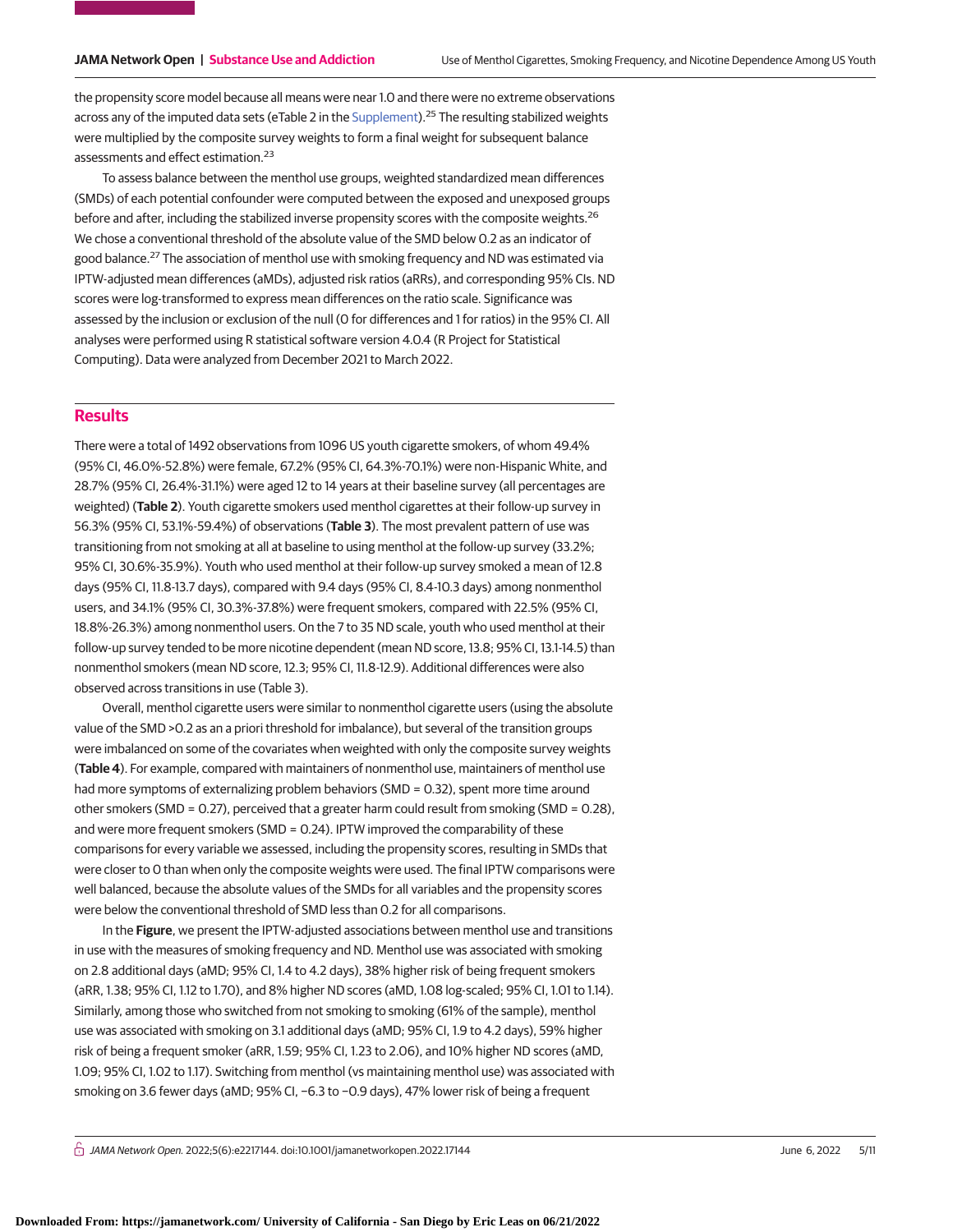the propensity score model because all means were near 1.0 and there were no extreme observations across any of the imputed data sets (eTable 2 in the [Supplement\)](https://jama.jamanetwork.com/article.aspx?doi=10.1001/jamanetworkopen.2022.17144&utm_campaign=articlePDF%26utm_medium=articlePDFlink%26utm_source=articlePDF%26utm_content=jamanetworkopen.2022.17144).<sup>25</sup> The resulting stabilized weights were multiplied by the composite survey weights to form a final weight for subsequent balance assessments and effect estimation.<sup>23</sup>

To assess balance between the menthol use groups, weighted standardized mean differences (SMDs) of each potential confounder were computed between the exposed and unexposed groups before and after, including the stabilized inverse propensity scores with the composite weights.<sup>26</sup> We chose a conventional threshold of the absolute value of the SMD below 0.2 as an indicator of good balance.<sup>27</sup> The association of menthol use with smoking frequency and ND was estimated via IPTW-adjusted mean differences (aMDs), adjusted risk ratios (aRRs), and corresponding 95% CIs. ND scores were log-transformed to express mean differences on the ratio scale. Significance was assessed by the inclusion or exclusion of the null (0 for differences and 1 for ratios) in the 95% CI. All analyses were performed using R statistical software version 4.0.4 (R Project for Statistical Computing). Data were analyzed from December 2021 to March 2022.

# **Results**

There were a total of 1492 observations from 1096 US youth cigarette smokers, of whom 49.4% (95% CI, 46.0%-52.8%) were female, 67.2% (95% CI, 64.3%-70.1%) were non-Hispanic White, and 28.7% (95% CI, 26.4%-31.1%) were aged 12 to 14 years at their baseline survey (all percentages are weighted) (**Table 2**). Youth cigarette smokers used menthol cigarettes at their follow-up survey in 56.3% (95% CI, 53.1%-59.4%) of observations (**Table 3**). The most prevalent pattern of use was transitioning from not smoking at all at baseline to using menthol at the follow-up survey (33.2%; 95% CI, 30.6%-35.9%). Youth who used menthol at their follow-up survey smoked a mean of 12.8 days (95% CI, 11.8-13.7 days), compared with 9.4 days (95% CI, 8.4-10.3 days) among nonmenthol users, and 34.1% (95% CI, 30.3%-37.8%) were frequent smokers, compared with 22.5% (95% CI, 18.8%-26.3%) among nonmenthol users. On the 7 to 35 ND scale, youth who used menthol at their follow-up survey tended to be more nicotine dependent (mean ND score, 13.8; 95% CI, 13.1-14.5) than nonmenthol smokers (mean ND score, 12.3; 95% CI, 11.8-12.9). Additional differences were also observed across transitions in use (Table 3).

Overall, menthol cigarette users were similar to nonmenthol cigarette users (using the absolute value of the SMD >0.2 as an a priori threshold for imbalance), but several of the transition groups were imbalanced on some of the covariates when weighted with only the composite survey weights (**Table 4**). For example, compared with maintainers of nonmenthol use, maintainers of menthol use had more symptoms of externalizing problem behaviors (SMD = 0.32), spent more time around other smokers (SMD = 0.27), perceived that a greater harm could result from smoking (SMD = 0.28), and were more frequent smokers (SMD = 0.24). IPTW improved the comparability of these comparisons for every variable we assessed, including the propensity scores, resulting in SMDs that were closer to 0 than when only the composite weights were used. The final IPTW comparisons were well balanced, because the absolute values of the SMDs for all variables and the propensity scores were below the conventional threshold of SMD less than 0.2 for all comparisons.

In the **Figure**, we present the IPTW-adjusted associations between menthol use and transitions in use with the measures of smoking frequency and ND. Menthol use was associated with smoking on 2.8 additional days (aMD; 95% CI, 1.4 to 4.2 days), 38% higher risk of being frequent smokers (aRR, 1.38; 95% CI, 1.12 to 1.70), and 8% higher ND scores (aMD, 1.08 log-scaled; 95% CI, 1.01 to 1.14). Similarly, among those who switched from not smoking to smoking (61% of the sample), menthol use was associated with smoking on 3.1 additional days (aMD; 95% CI, 1.9 to 4.2 days), 59% higher risk of being a frequent smoker (aRR, 1.59; 95% CI, 1.23 to 2.06), and 10% higher ND scores (aMD, 1.09; 95% CI, 1.02 to 1.17). Switching from menthol (vs maintaining menthol use) was associated with smoking on 3.6 fewer days (aMD; 95% CI, −6.3 to −0.9 days), 47% lower risk of being a frequent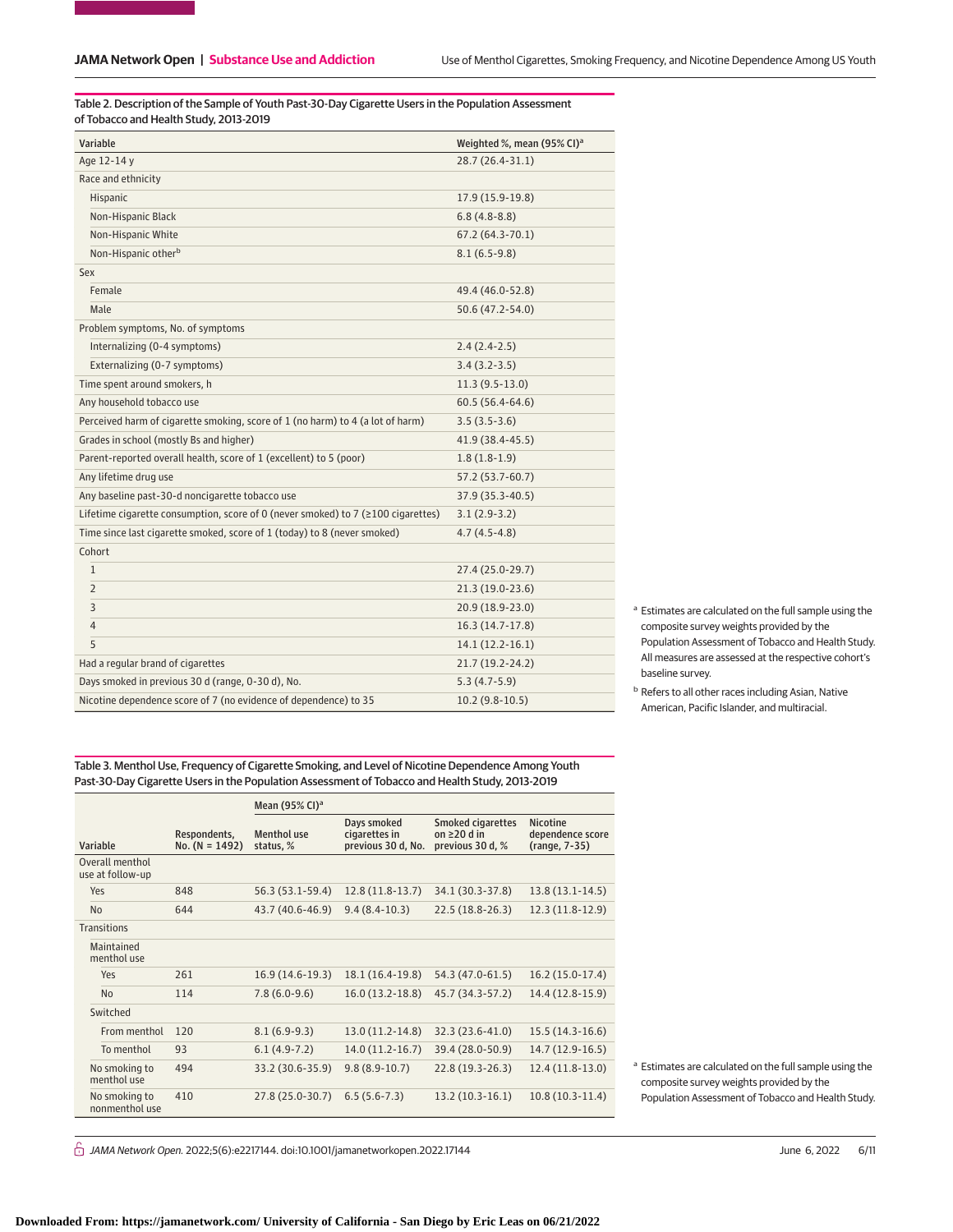Table 2. Description of the Sample of Youth Past-30-Day Cigarette Users in the Population Assessment of Tobacco and Health Study, 2013-2019

| Variable                                                                         | Weighted %, mean (95% CI) <sup>a</sup> |
|----------------------------------------------------------------------------------|----------------------------------------|
| Age 12-14 y                                                                      | 28.7 (26.4-31.1)                       |
| Race and ethnicity                                                               |                                        |
| Hispanic                                                                         | 17.9 (15.9-19.8)                       |
| Non-Hispanic Black                                                               | $6.8(4.8-8.8)$                         |
| Non-Hispanic White                                                               | $67.2(64.3-70.1)$                      |
| Non-Hispanic other <sup>b</sup>                                                  | $8.1(6.5-9.8)$                         |
| Sex                                                                              |                                        |
| Female                                                                           | 49.4 (46.0-52.8)                       |
| Male                                                                             | 50.6 (47.2-54.0)                       |
| Problem symptoms, No. of symptoms                                                |                                        |
| Internalizing (0-4 symptoms)                                                     | $2.4(2.4-2.5)$                         |
| Externalizing (0-7 symptoms)                                                     | $3.4(3.2-3.5)$                         |
| Time spent around smokers, h                                                     | $11.3(9.5-13.0)$                       |
| Any household tobacco use                                                        | $60.5(56.4-64.6)$                      |
| Perceived harm of cigarette smoking, score of 1 (no harm) to 4 (a lot of harm)   | $3.5(3.5-3.6)$                         |
| Grades in school (mostly Bs and higher)                                          | 41.9 (38.4-45.5)                       |
| Parent-reported overall health, score of 1 (excellent) to 5 (poor)               | $1.8(1.8-1.9)$                         |
| Any lifetime drug use                                                            | 57.2 (53.7-60.7)                       |
| Any baseline past-30-d noncigarette tobacco use                                  | 37.9 (35.3-40.5)                       |
| Lifetime cigarette consumption, score of 0 (never smoked) to 7 (≥100 cigarettes) | $3.1(2.9-3.2)$                         |
| Time since last cigarette smoked, score of 1 (today) to 8 (never smoked)         | $4.7(4.5-4.8)$                         |
| Cohort                                                                           |                                        |
| $\mathbf{1}$                                                                     | 27.4 (25.0-29.7)                       |
| $\overline{2}$                                                                   | 21.3 (19.0-23.6)                       |
| 3                                                                                | 20.9 (18.9-23.0)                       |
| 4                                                                                | 16.3 (14.7-17.8)                       |
| 5                                                                                | $14.1(12.2-16.1)$                      |
| Had a regular brand of cigarettes                                                | 21.7 (19.2-24.2)                       |
| Days smoked in previous 30 d (range, 0-30 d), No.                                | $5.3(4.7-5.9)$                         |
| Nicotine dependence score of 7 (no evidence of dependence) to 35                 | $10.2(9.8-10.5)$                       |

<sup>a</sup> Estimates are calculated on the full sample using the composite survey weights provided by the Population Assessment of Tobacco and Health Study. All measures are assessed at the respective cohort's baseline survey.

<sup>b</sup> Refers to all other races including Asian, Native American, Pacific Islander, and multiracial.

Table 3. Menthol Use, Frequency of Cigarette Smoking, and Level of Nicotine Dependence Among Youth Past-30-Day Cigarette Users in the Population Assessment of Tobacco and Health Study, 2013-2019

|                                     |                                  | Mean $(95\%$ CI) <sup>a</sup>   |                                                    |                                                                   |                                                      |
|-------------------------------------|----------------------------------|---------------------------------|----------------------------------------------------|-------------------------------------------------------------------|------------------------------------------------------|
| Variable                            | Respondents,<br>$No. (N = 1492)$ | <b>Menthol use</b><br>status, % | Days smoked<br>cigarettes in<br>previous 30 d, No. | <b>Smoked cigarettes</b><br>on $\geq$ 20 d in<br>previous 30 d, % | <b>Nicotine</b><br>dependence score<br>(range, 7-35) |
| Overall menthol<br>use at follow-up |                                  |                                 |                                                    |                                                                   |                                                      |
| Yes                                 | 848                              | 56.3 (53.1-59.4)                | $12.8(11.8-13.7)$                                  | 34.1 (30.3-37.8)                                                  | $13.8(13.1-14.5)$                                    |
| N <sub>0</sub>                      | 644                              | 43.7 (40.6-46.9)                | $9.4(8.4-10.3)$                                    | 22.5 (18.8-26.3)                                                  | $12.3(11.8-12.9)$                                    |
| <b>Transitions</b>                  |                                  |                                 |                                                    |                                                                   |                                                      |
| Maintained<br>menthol use           |                                  |                                 |                                                    |                                                                   |                                                      |
| Yes                                 | 261                              | 16.9 (14.6-19.3)                | 18.1 (16.4-19.8)                                   | 54.3 (47.0-61.5)                                                  | 16.2 (15.0-17.4)                                     |
| N <sub>0</sub>                      | 114                              | $7.8(6.0-9.6)$                  | $16.0(13.2-18.8)$                                  | 45.7 (34.3-57.2)                                                  | 14.4 (12.8-15.9)                                     |
| Switched                            |                                  |                                 |                                                    |                                                                   |                                                      |
| From menthol                        | 120                              | $8.1(6.9-9.3)$                  | 13.0 (11.2-14.8)                                   | 32.3 (23.6-41.0)                                                  | $15.5(14.3-16.6)$                                    |
| To menthol                          | 93                               | $6.1(4.9-7.2)$                  | $14.0(11.2-16.7)$                                  | 39.4 (28.0-50.9)                                                  | 14.7 (12.9-16.5)                                     |
| No smoking to<br>menthol use        | 494                              | 33.2 (30.6-35.9)                | $9.8(8.9-10.7)$                                    | 22.8 (19.3-26.3)                                                  | $12.4(11.8-13.0)$                                    |
| No smoking to<br>nonmenthol use     | 410                              | 27.8 (25.0-30.7)                | $6.5(5.6-7.3)$                                     | $13.2(10.3-16.1)$                                                 | $10.8(10.3-11.4)$                                    |

<sup>a</sup> Estimates are calculated on the full sample using the composite survey weights provided by the Population Assessment of Tobacco and Health Study.

 $\bigcap$  JAMA Network Open. 2022;5(6):e2217144. doi:10.1001/jamanetworkopen.2022.17144 June 6, 2022 6/11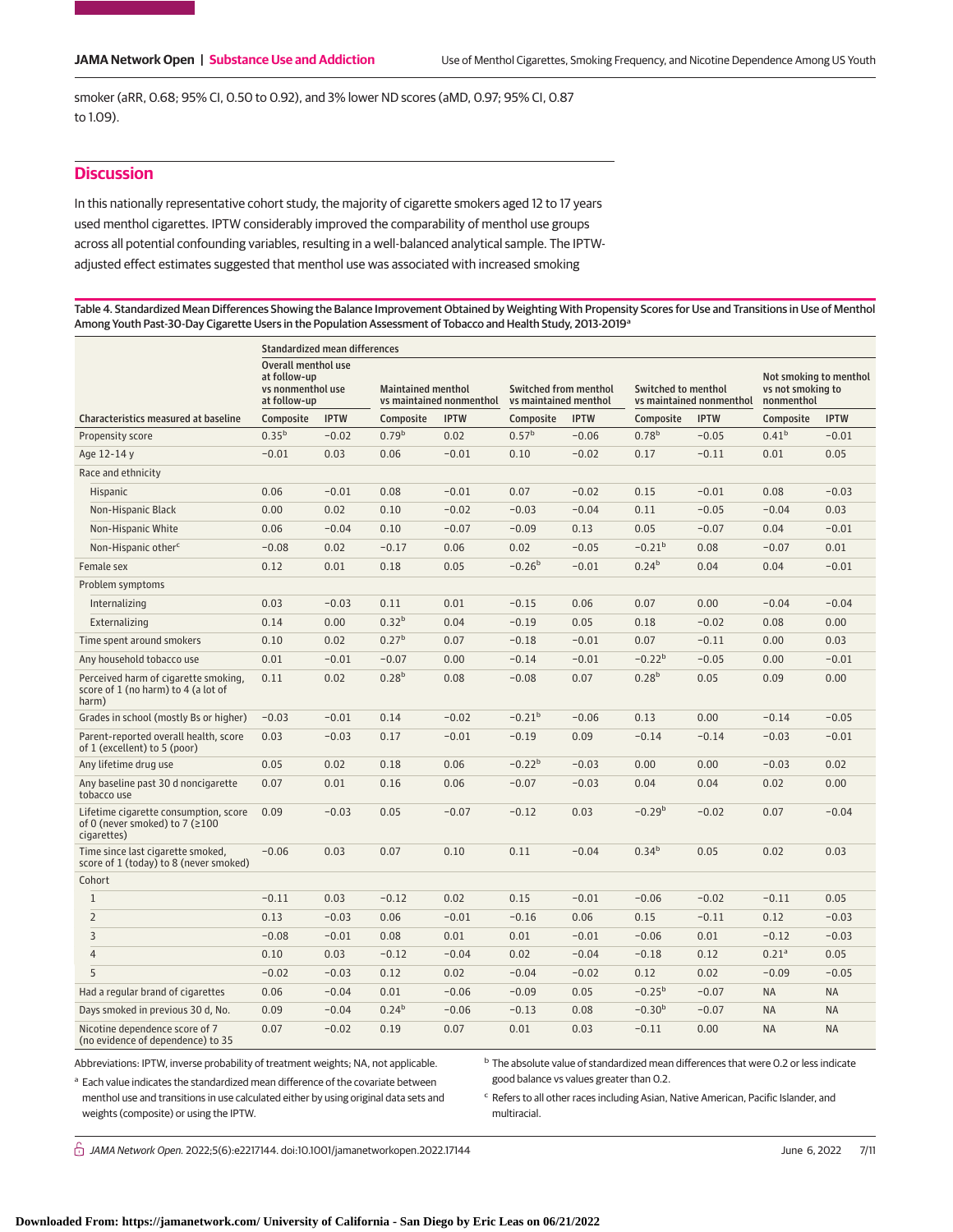smoker (aRR, 0.68; 95% CI, 0.50 to 0.92), and 3% lower ND scores (aMD, 0.97; 95% CI, 0.87 to 1.09).

# **Discussion**

In this nationally representative cohort study, the majority of cigarette smokers aged 12 to 17 years used menthol cigarettes. IPTW considerably improved the comparability of menthol use groups across all potential confounding variables, resulting in a well-balanced analytical sample. The IPTWadjusted effect estimates suggested that menthol use was associated with increased smoking

Table 4. Standardized Mean Differences Showing the Balance Improvement Obtained by Weighting With Propensity Scores for Use and Transitions in Use of Menthol Among Youth Past-30-Day Cigarette Users in the Population Assessment of Tobacco and Health Study, 2013-2019<sup>a</sup>

|                                                                                               | Standardized mean differences                                            |             |                                                       |             |                                                       |             |                                                        |             |                                                           |             |
|-----------------------------------------------------------------------------------------------|--------------------------------------------------------------------------|-------------|-------------------------------------------------------|-------------|-------------------------------------------------------|-------------|--------------------------------------------------------|-------------|-----------------------------------------------------------|-------------|
|                                                                                               | Overall menthol use<br>at follow-up<br>vs nonmenthol use<br>at follow-up |             | <b>Maintained menthol</b><br>vs maintained nonmenthol |             | <b>Switched from menthol</b><br>vs maintained menthol |             | <b>Switched to menthol</b><br>vs maintained nonmenthol |             | Not smoking to menthol<br>vs not smoking to<br>nonmenthol |             |
| <b>Characteristics measured at baseline</b>                                                   | Composite                                                                | <b>IPTW</b> | Composite                                             | <b>IPTW</b> | Composite                                             | <b>IPTW</b> | Composite                                              | <b>IPTW</b> | Composite                                                 | <b>IPTW</b> |
| Propensity score                                                                              | $0.35^{b}$                                                               | $-0.02$     | 0.79 <sup>b</sup>                                     | 0.02        | $0.57^{b}$                                            | $-0.06$     | 0.78 <sup>b</sup>                                      | $-0.05$     | $0.41^{b}$                                                | $-0.01$     |
| Age 12-14 y                                                                                   | $-0.01$                                                                  | 0.03        | 0.06                                                  | $-0.01$     | 0.10                                                  | $-0.02$     | 0.17                                                   | $-0.11$     | 0.01                                                      | 0.05        |
| Race and ethnicity                                                                            |                                                                          |             |                                                       |             |                                                       |             |                                                        |             |                                                           |             |
| Hispanic                                                                                      | 0.06                                                                     | $-0.01$     | 0.08                                                  | $-0.01$     | 0.07                                                  | $-0.02$     | 0.15                                                   | $-0.01$     | 0.08                                                      | $-0.03$     |
| Non-Hispanic Black                                                                            | 0.00                                                                     | 0.02        | 0.10                                                  | $-0.02$     | $-0.03$                                               | $-0.04$     | 0.11                                                   | $-0.05$     | $-0.04$                                                   | 0.03        |
| Non-Hispanic White                                                                            | 0.06                                                                     | $-0.04$     | 0.10                                                  | $-0.07$     | $-0.09$                                               | 0.13        | 0.05                                                   | $-0.07$     | 0.04                                                      | $-0.01$     |
| Non-Hispanic other <sup>c</sup>                                                               | $-0.08$                                                                  | 0.02        | $-0.17$                                               | 0.06        | 0.02                                                  | $-0.05$     | $-0.21b$                                               | 0.08        | $-0.07$                                                   | 0.01        |
| Female sex                                                                                    | 0.12                                                                     | 0.01        | 0.18                                                  | 0.05        | $-0.26b$                                              | $-0.01$     | 0.24 <sup>b</sup>                                      | 0.04        | 0.04                                                      | $-0.01$     |
| Problem symptoms                                                                              |                                                                          |             |                                                       |             |                                                       |             |                                                        |             |                                                           |             |
| Internalizing                                                                                 | 0.03                                                                     | $-0.03$     | 0.11                                                  | 0.01        | $-0.15$                                               | 0.06        | 0.07                                                   | 0.00        | $-0.04$                                                   | $-0.04$     |
| Externalizing                                                                                 | 0.14                                                                     | 0.00        | 0.32 <sup>b</sup>                                     | 0.04        | $-0.19$                                               | 0.05        | 0.18                                                   | $-0.02$     | 0.08                                                      | 0.00        |
| Time spent around smokers                                                                     | 0.10                                                                     | 0.02        | 0.27 <sup>b</sup>                                     | 0.07        | $-0.18$                                               | $-0.01$     | 0.07                                                   | $-0.11$     | 0.00                                                      | 0.03        |
| Any household tobacco use                                                                     | 0.01                                                                     | $-0.01$     | $-0.07$                                               | 0.00        | $-0.14$                                               | $-0.01$     | $-0.22b$                                               | $-0.05$     | 0.00                                                      | $-0.01$     |
| Perceived harm of cigarette smoking,<br>score of 1 (no harm) to 4 (a lot of<br>harm)          | 0.11                                                                     | 0.02        | 0.28 <sup>b</sup>                                     | 0.08        | $-0.08$                                               | 0.07        | 0.28 <sup>b</sup>                                      | 0.05        | 0.09                                                      | 0.00        |
| Grades in school (mostly Bs or higher)                                                        | $-0.03$                                                                  | $-0.01$     | 0.14                                                  | $-0.02$     | $-0.21b$                                              | $-0.06$     | 0.13                                                   | 0.00        | $-0.14$                                                   | $-0.05$     |
| Parent-reported overall health, score<br>of 1 (excellent) to 5 (poor)                         | 0.03                                                                     | $-0.03$     | 0.17                                                  | $-0.01$     | $-0.19$                                               | 0.09        | $-0.14$                                                | $-0.14$     | $-0.03$                                                   | $-0.01$     |
| Any lifetime drug use                                                                         | 0.05                                                                     | 0.02        | 0.18                                                  | 0.06        | $-0.22^{b}$                                           | $-0.03$     | 0.00                                                   | 0.00        | $-0.03$                                                   | 0.02        |
| Any baseline past 30 d noncigarette<br>tobacco use                                            | 0.07                                                                     | 0.01        | 0.16                                                  | 0.06        | $-0.07$                                               | $-0.03$     | 0.04                                                   | 0.04        | 0.02                                                      | 0.00        |
| Lifetime cigarette consumption, score<br>of 0 (never smoked) to 7 ( $\geq 100$<br>cigarettes) | 0.09                                                                     | $-0.03$     | 0.05                                                  | $-0.07$     | $-0.12$                                               | 0.03        | $-0.29b$                                               | $-0.02$     | 0.07                                                      | $-0.04$     |
| Time since last cigarette smoked,<br>score of 1 (today) to 8 (never smoked)                   | $-0.06$                                                                  | 0.03        | 0.07                                                  | 0.10        | 0.11                                                  | $-0.04$     | $0.34^{b}$                                             | 0.05        | 0.02                                                      | 0.03        |
| Cohort                                                                                        |                                                                          |             |                                                       |             |                                                       |             |                                                        |             |                                                           |             |
| $\mathbf{1}$                                                                                  | $-0.11$                                                                  | 0.03        | $-0.12$                                               | 0.02        | 0.15                                                  | $-0.01$     | $-0.06$                                                | $-0.02$     | $-0.11$                                                   | 0.05        |
| $\overline{2}$                                                                                | 0.13                                                                     | $-0.03$     | 0.06                                                  | $-0.01$     | $-0.16$                                               | 0.06        | 0.15                                                   | $-0.11$     | 0.12                                                      | $-0.03$     |
| 3                                                                                             | $-0.08$                                                                  | $-0.01$     | 0.08                                                  | 0.01        | 0.01                                                  | $-0.01$     | $-0.06$                                                | 0.01        | $-0.12$                                                   | $-0.03$     |
| $\overline{4}$                                                                                | 0.10                                                                     | 0.03        | $-0.12$                                               | $-0.04$     | 0.02                                                  | $-0.04$     | $-0.18$                                                | 0.12        | 0.21 <sup>a</sup>                                         | 0.05        |
| 5                                                                                             | $-0.02$                                                                  | $-0.03$     | 0.12                                                  | 0.02        | $-0.04$                                               | $-0.02$     | 0.12                                                   | 0.02        | $-0.09$                                                   | $-0.05$     |
| Had a regular brand of cigarettes                                                             | 0.06                                                                     | $-0.04$     | 0.01                                                  | $-0.06$     | $-0.09$                                               | 0.05        | $-0.25^{b}$                                            | $-0.07$     | <b>NA</b>                                                 | <b>NA</b>   |
| Days smoked in previous 30 d, No.                                                             | 0.09                                                                     | $-0.04$     | 0.24 <sup>b</sup>                                     | $-0.06$     | $-0.13$                                               | 0.08        | $-0.30b$                                               | $-0.07$     | <b>NA</b>                                                 | <b>NA</b>   |
| Nicotine dependence score of 7<br>(no evidence of dependence) to 35                           | 0.07                                                                     | $-0.02$     | 0.19                                                  | 0.07        | 0.01                                                  | 0.03        | $-0.11$                                                | 0.00        | <b>NA</b>                                                 | <b>NA</b>   |

Abbreviations: IPTW, inverse probability of treatment weights; NA, not applicable.

<sup>b</sup> The absolute value of standardized mean differences that were 0.2 or less indicate good balance vs values greater than 0.2.

<sup>a</sup> Each value indicates the standardized mean difference of the covariate between menthol use and transitions in use calculated either by using original data sets and weights (composite) or using the IPTW.

<sup>c</sup> Refers to all other races including Asian, Native American, Pacific Islander, and multiracial.

 $\stackrel{\frown}{\Box}$  JAMA Network Open. 2022;5(6):e2217144. doi:10.1001/jamanetworkopen.2022.17144 June 6, 2022 7/11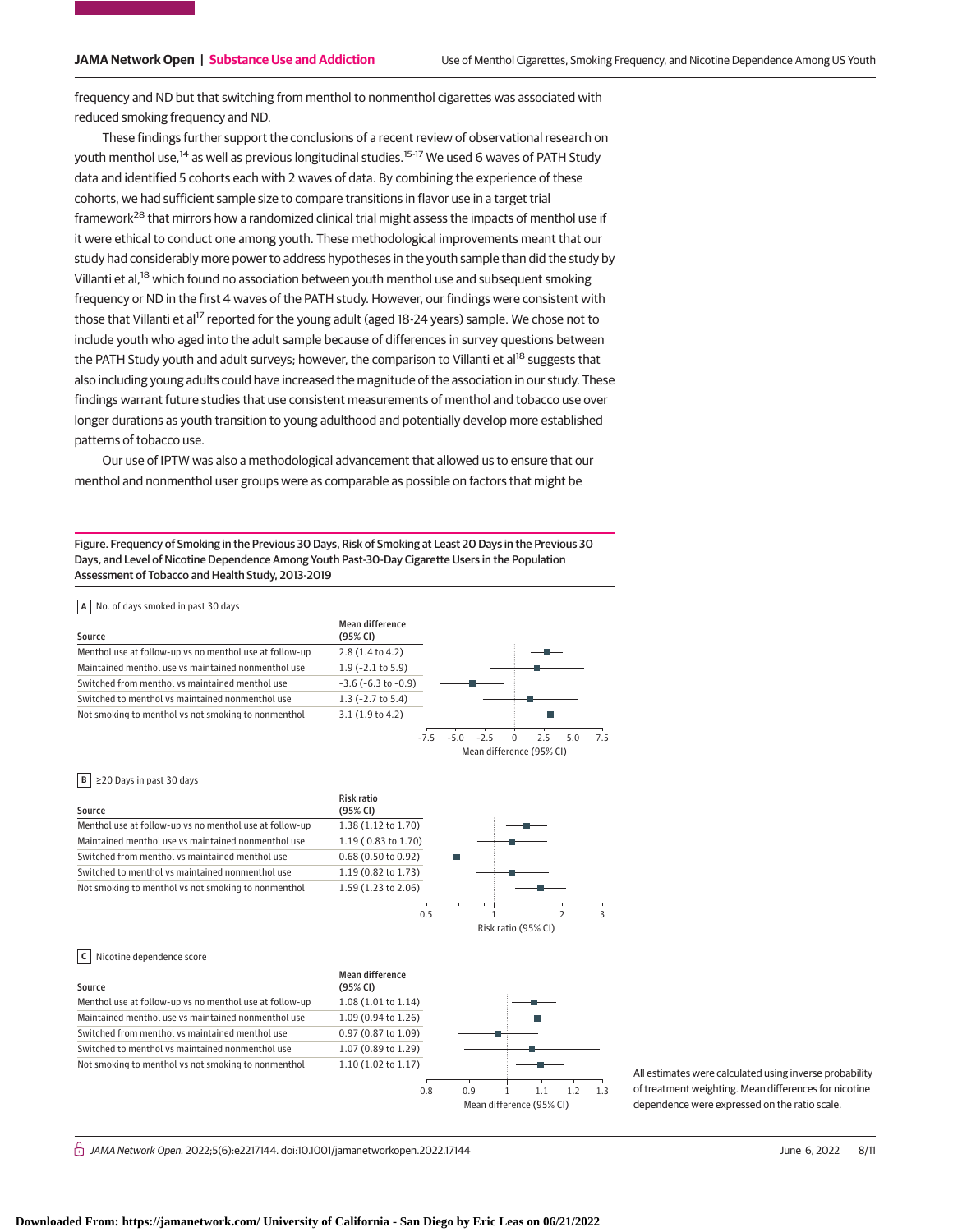frequency and ND but that switching from menthol to nonmenthol cigarettes was associated with reduced smoking frequency and ND.

These findings further support the conclusions of a recent review of observational research on youth menthol use,<sup>14</sup> as well as previous longitudinal studies.<sup>15-17</sup> We used 6 waves of PATH Study data and identified 5 cohorts each with 2 waves of data. By combining the experience of these cohorts, we had sufficient sample size to compare transitions in flavor use in a target trial framework<sup>28</sup> that mirrors how a randomized clinical trial might assess the impacts of menthol use if it were ethical to conduct one among youth. These methodological improvements meant that our study had considerably more power to address hypotheses in the youth sample than did the study by Villanti et al,<sup>18</sup> which found no association between youth menthol use and subsequent smoking frequency or ND in the first 4 waves of the PATH study. However, our findings were consistent with those that Villanti et al<sup>17</sup> reported for the young adult (aged 18-24 years) sample. We chose not to include youth who aged into the adult sample because of differences in survey questions between the PATH Study youth and adult surveys; however, the comparison to Villanti et al<sup>18</sup> suggests that also including young adults could have increased the magnitude of the association in our study. These findings warrant future studies that use consistent measurements of menthol and tobacco use over longer durations as youth transition to young adulthood and potentially develop more established patterns of tobacco use.

Our use of IPTW was also a methodological advancement that allowed us to ensure that our menthol and nonmenthol user groups were as comparable as possible on factors that might be

Figure. Frequency of Smoking in the Previous 30 Days, Risk of Smoking at Least 20 Days in the Previous 30 Days, and Level of Nicotine Dependence Among Youth Past-30-Day Cigarette Users in the Population Assessment of Tobacco and Health Study, 2013-2019

| Source                                                  | Mean difference<br>(95% CI) |       |     |       |   |                                |     |    |
|---------------------------------------------------------|-----------------------------|-------|-----|-------|---|--------------------------------|-----|----|
| Menthol use at follow-up vs no menthol use at follow-up | $2.8(1.4 \text{ to } 4.2)$  |       |     |       |   |                                |     |    |
| Maintained menthol use vs maintained nonmenthol use     | $1.9$ (-2.1 to 5.9)         |       |     |       |   |                                |     |    |
| Switched from menthol vs maintained menthol use         | $-3.6$ ( $-6.3$ to $-0.9$ ) |       |     |       |   |                                |     |    |
| Switched to menthol vs maintained nonmenthol use        | $1.3$ (-2.7 to 5.4)         |       |     |       |   |                                |     |    |
| Not smoking to menthol vs not smoking to nonmenthol     | 3.1(1.9 to 4.2)             |       |     |       |   |                                |     |    |
|                                                         |                             | $-75$ | -50 | $-25$ | O | 25<br>Mean difference (95% CI) | 5.0 | 75 |

#### **B** ≥20 Days in past 30 days

| Source                                                  | Risk ratio<br>(95% CI) |     |                     |  |
|---------------------------------------------------------|------------------------|-----|---------------------|--|
| Menthol use at follow-up vs no menthol use at follow-up | 1.38 (1.12 to 1.70)    |     |                     |  |
| Maintained menthol use vs maintained nonmenthol use     | 1.19 (0.83 to 1.70)    |     |                     |  |
| Switched from menthol vs maintained menthol use         | 0.68 (0.50 to 0.92)    |     |                     |  |
| Switched to menthol vs maintained nonmenthol use        | 1.19 (0.82 to 1.73)    |     |                     |  |
| Not smoking to menthol vs not smoking to nonmenthol     | 1.59 (1.23 to 2.06)    |     |                     |  |
|                                                         |                        |     |                     |  |
|                                                         |                        | 0.5 |                     |  |
|                                                         |                        |     | Risk ratio (95% CI) |  |

### **C** Nicotine dependence score

| Source                                                  | Mean difference<br>(95% CI) |     |                          |                |
|---------------------------------------------------------|-----------------------------|-----|--------------------------|----------------|
| Menthol use at follow-up vs no menthol use at follow-up | 1.08 (1.01 to 1.14)         |     |                          |                |
| Maintained menthol use vs maintained nonmenthol use     | 1.09 (0.94 to 1.26)         |     |                          |                |
| Switched from menthol vs maintained menthol use         | 0.97 (0.87 to 1.09)         |     |                          |                |
| Switched to menthol vs maintained nonmenthol use        | 1.07 (0.89 to 1.29)         |     |                          |                |
| Not smoking to menthol vs not smoking to nonmenthol     | 1.10 (1.02 to 1.17)         |     |                          |                |
|                                                         |                             |     |                          |                |
|                                                         | 0.8                         | 0.9 |                          | 1 <sup>3</sup> |
|                                                         |                             |     | Mean difference (95% CI) |                |

All estimates were calculated using inverse probability of treatment weighting. Mean differences for nicotine dependence were expressed on the ratio scale.

 $\bigcap$  JAMA Network Open. 2022;5(6):e2217144. doi:10.1001/jamanetworkopen.2022.17144 June 6, 2022 8/11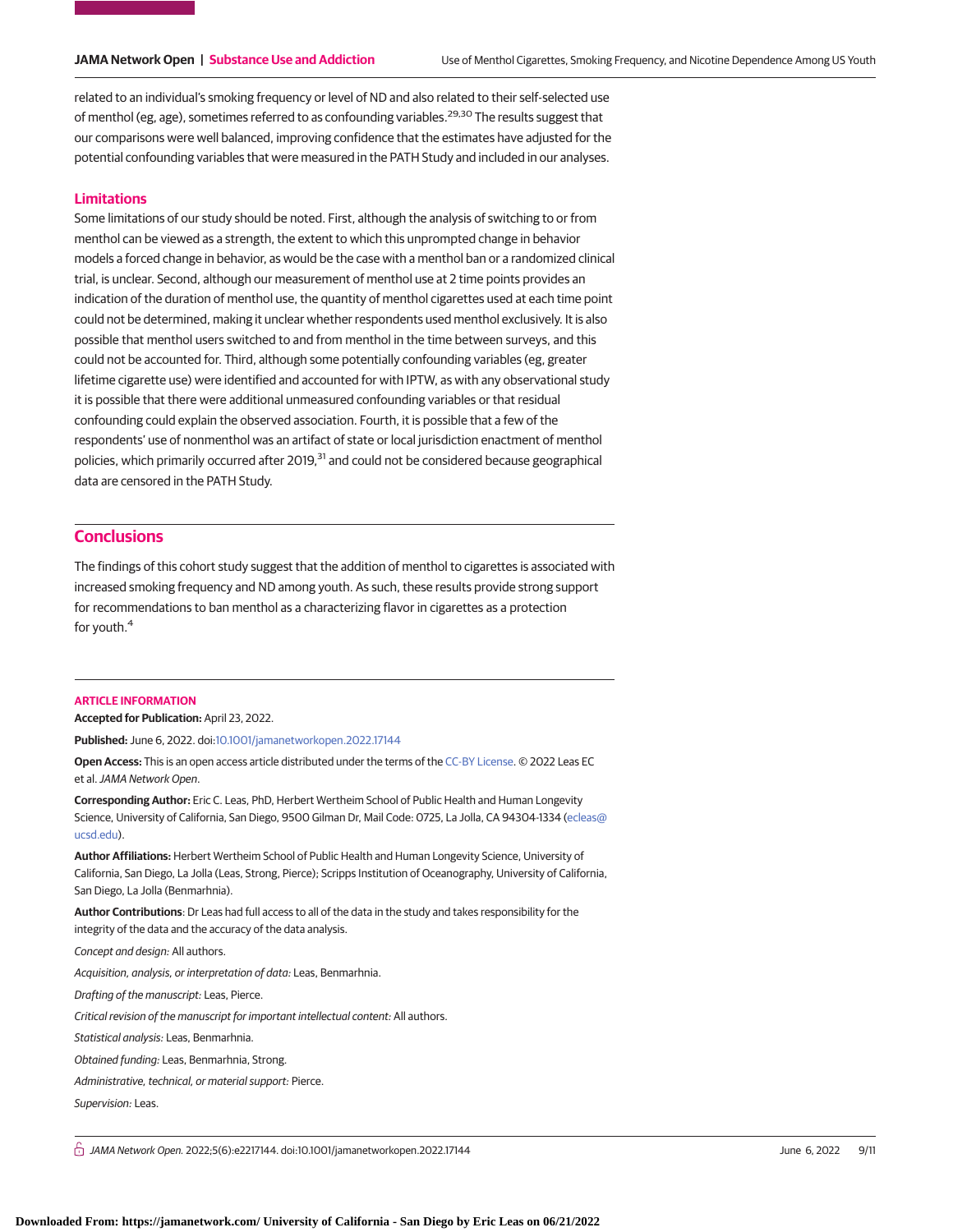related to an individual's smoking frequency or level of ND and also related to their self-selected use of menthol (eg, age), sometimes referred to as confounding variables.<sup>29,30</sup> The results suggest that our comparisons were well balanced, improving confidence that the estimates have adjusted for the potential confounding variables that were measured in the PATH Study and included in our analyses.

### **Limitations**

Some limitations of our study should be noted. First, although the analysis of switching to or from menthol can be viewed as a strength, the extent to which this unprompted change in behavior models a forced change in behavior, as would be the case with a menthol ban or a randomized clinical trial, is unclear. Second, although our measurement of menthol use at 2 time points provides an indication of the duration of menthol use, the quantity of menthol cigarettes used at each time point could not be determined, making it unclear whether respondents used menthol exclusively. It is also possible that menthol users switched to and from menthol in the time between surveys, and this could not be accounted for. Third, although some potentially confounding variables (eg, greater lifetime cigarette use) were identified and accounted for with IPTW, as with any observational study it is possible that there were additional unmeasured confounding variables or that residual confounding could explain the observed association. Fourth, it is possible that a few of the respondents' use of nonmenthol was an artifact of state or local jurisdiction enactment of menthol policies, which primarily occurred after 2019,<sup>31</sup> and could not be considered because geographical data are censored in the PATH Study.

# **Conclusions**

The findings of this cohort study suggest that the addition of menthol to cigarettes is associated with increased smoking frequency and ND among youth. As such, these results provide strong support for recommendations to ban menthol as a characterizing flavor in cigarettes as a protection for youth.<sup>4</sup>

#### **ARTICLE INFORMATION**

**Accepted for Publication:** April 23, 2022.

**Published:** June 6, 2022. doi[:10.1001/jamanetworkopen.2022.17144](https://jama.jamanetwork.com/article.aspx?doi=10.1001/jamanetworkopen.2022.17144&utm_campaign=articlePDF%26utm_medium=articlePDFlink%26utm_source=articlePDF%26utm_content=jamanetworkopen.2022.17144)

**Open Access:** This is an open access article distributed under the terms of the [CC-BY License.](https://jamanetwork.com/pages/cc-by-license-permissions/?utm_campaign=articlePDF%26utm_medium=articlePDFlink%26utm_source=articlePDF%26utm_content=jamanetworkopen.2022.17144) © 2022 Leas EC et al.JAMA Network Open.

**Corresponding Author:** Eric C. Leas, PhD, Herbert Wertheim School of Public Health and Human Longevity Science, University of California, San Diego, 9500 Gilman Dr, Mail Code: 0725, La Jolla, CA 94304-1334 [\(ecleas@](mailto:ecleas@ucsd.edu) [ucsd.edu\)](mailto:ecleas@ucsd.edu).

**Author Affiliations:** Herbert Wertheim School of Public Health and Human Longevity Science, University of California, San Diego, La Jolla (Leas, Strong, Pierce); Scripps Institution of Oceanography, University of California, San Diego, La Jolla (Benmarhnia).

**Author Contributions**: Dr Leas had full access to all of the data in the study and takes responsibility for the integrity of the data and the accuracy of the data analysis.

Concept and design: All authors.

Acquisition, analysis, or interpretation of data: Leas, Benmarhnia.

Drafting of the manuscript: Leas, Pierce.

Critical revision of the manuscript for important intellectual content: All authors.

Statistical analysis: Leas, Benmarhnia.

Obtained funding: Leas, Benmarhnia, Strong.

Administrative, technical, or material support: Pierce.

Supervision: Leas.

 $\bigcap$  JAMA Network Open. 2022;5(6):e2217144. doi:10.1001/jamanetworkopen.2022.17144 June 6, 2022 9/11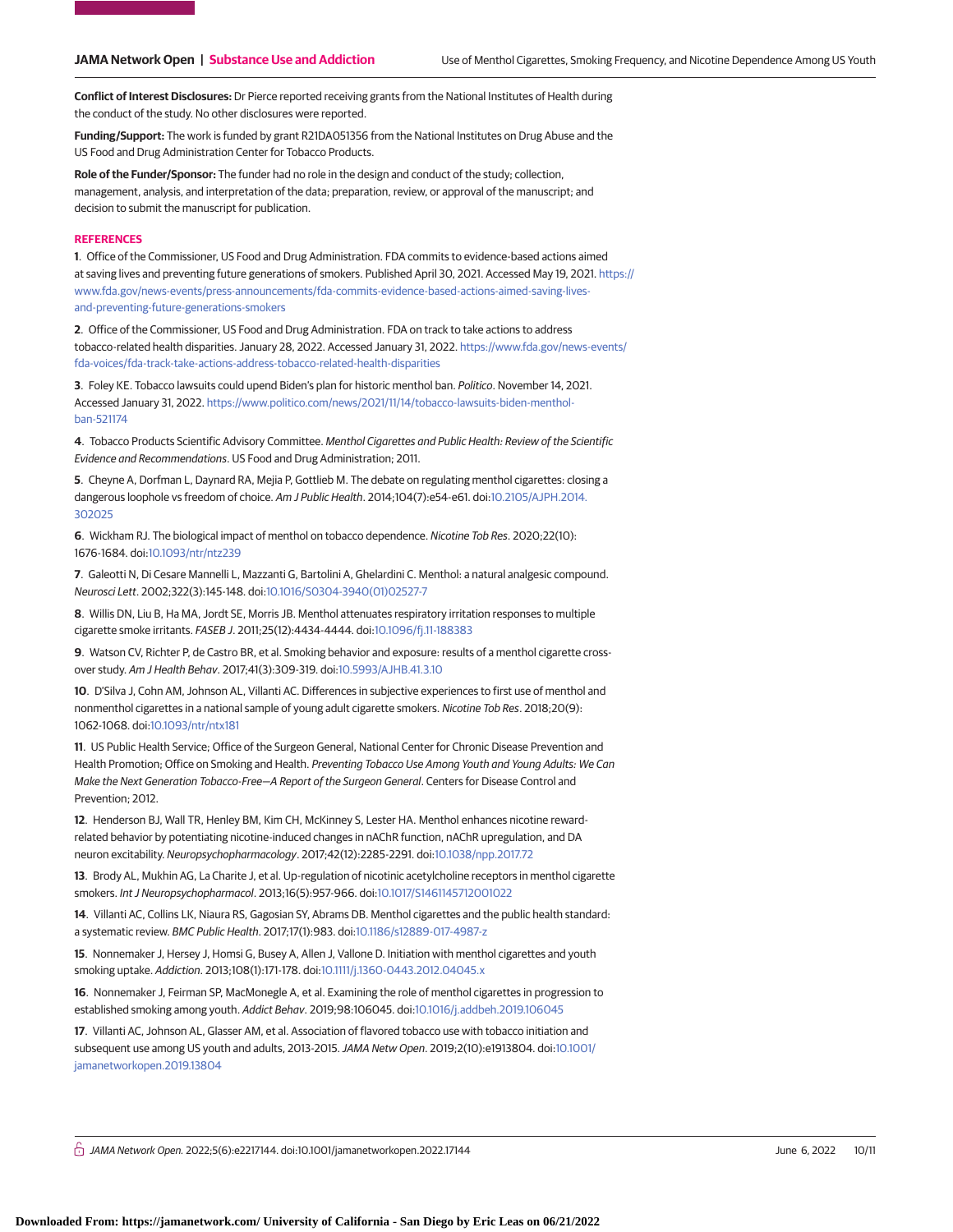**Conflict of Interest Disclosures:** Dr Pierce reported receiving grants from the National Institutes of Health during the conduct of the study. No other disclosures were reported.

**Funding/Support:** The work is funded by grant R21DA051356 from the National Institutes on Drug Abuse and the US Food and Drug Administration Center for Tobacco Products.

**Role of the Funder/Sponsor:** The funder had no role in the design and conduct of the study; collection, management, analysis, and interpretation of the data; preparation, review, or approval of the manuscript; and decision to submit the manuscript for publication.

#### **REFERENCES**

**1**. Office of the Commissioner, US Food and Drug Administration. FDA commits to evidence-based actions aimed at saving lives and preventing future generations of smokers. Published April 30, 2021. Accessed May 19, 2021. [https://](https://www.fda.gov/news-events/press-announcements/fda-commits-evidence-based-actions-aimed-saving-lives-and-preventing-future-generations-smokers) [www.fda.gov/news-events/press-announcements/fda-commits-evidence-based-actions-aimed-saving-lives](https://www.fda.gov/news-events/press-announcements/fda-commits-evidence-based-actions-aimed-saving-lives-and-preventing-future-generations-smokers)[and-preventing-future-generations-smokers](https://www.fda.gov/news-events/press-announcements/fda-commits-evidence-based-actions-aimed-saving-lives-and-preventing-future-generations-smokers)

**2**. Office of the Commissioner, US Food and Drug Administration. FDA on track to take actions to address tobacco-related health disparities. January 28, 2022. Accessed January 31, 2022. [https://www.fda.gov/news-events/](https://www.fda.gov/news-events/fda-voices/fda-track-take-actions-address-tobacco-related-health-disparities) [fda-voices/fda-track-take-actions-address-tobacco-related-health-disparities](https://www.fda.gov/news-events/fda-voices/fda-track-take-actions-address-tobacco-related-health-disparities)

**3**. Foley KE. Tobacco lawsuits could upend Biden's plan for historic menthol ban. Politico. November 14, 2021. Accessed January 31, 2022. [https://www.politico.com/news/2021/11/14/tobacco-lawsuits-biden-menthol](https://www.politico.com/news/2021/11/14/tobacco-lawsuits-biden-menthol-ban-521174)[ban-521174](https://www.politico.com/news/2021/11/14/tobacco-lawsuits-biden-menthol-ban-521174)

**4**. Tobacco Products Scientific Advisory Committee. Menthol Cigarettes and Public Health: Review of the Scientific Evidence and Recommendations. US Food and Drug Administration; 2011.

**5**. Cheyne A, Dorfman L, Daynard RA, Mejia P, Gottlieb M. The debate on regulating menthol cigarettes: closing a dangerous loophole vs freedom of choice. Am J Public Health. 2014;104(7):e54-e61. doi[:10.2105/AJPH.2014.](https://dx.doi.org/10.2105/AJPH.2014.302025) [302025](https://dx.doi.org/10.2105/AJPH.2014.302025)

**6**. Wickham RJ. The biological impact of menthol on tobacco dependence. Nicotine Tob Res. 2020;22(10): 1676-1684. doi[:10.1093/ntr/ntz239](https://dx.doi.org/10.1093/ntr/ntz239)

**7**. Galeotti N, Di Cesare Mannelli L, Mazzanti G, Bartolini A, Ghelardini C. Menthol: a natural analgesic compound. Neurosci Lett. 2002;322(3):145-148. doi[:10.1016/S0304-3940\(01\)02527-7](https://dx.doi.org/10.1016/S0304-3940(01)02527-7)

**8**. Willis DN, Liu B, Ha MA, Jordt SE, Morris JB. Menthol attenuates respiratory irritation responses to multiple cigarette smoke irritants. FASEB J. 2011;25(12):4434-4444. doi[:10.1096/fj.11-188383](https://dx.doi.org/10.1096/fj.11-188383)

**9**. Watson CV, Richter P, de Castro BR, et al. Smoking behavior and exposure: results of a menthol cigarette crossover study. Am J Health Behav. 2017;41(3):309-319. doi[:10.5993/AJHB.41.3.10](https://dx.doi.org/10.5993/AJHB.41.3.10)

**10**. D'Silva J, Cohn AM, Johnson AL, Villanti AC. Differences in subjective experiences to first use of menthol and nonmenthol cigarettes in a national sample of young adult cigarette smokers. Nicotine Tob Res. 2018;20(9): 1062-1068. doi[:10.1093/ntr/ntx181](https://dx.doi.org/10.1093/ntr/ntx181)

**11**. US Public Health Service; Office of the Surgeon General, National Center for Chronic Disease Prevention and Health Promotion; Office on Smoking and Health. Preventing Tobacco Use Among Youth and Young Adults: We Can Make the Next Generation Tobacco-Free—A Report of the Surgeon General. Centers for Disease Control and Prevention; 2012.

**12**. Henderson BJ, Wall TR, Henley BM, Kim CH, McKinney S, Lester HA. Menthol enhances nicotine rewardrelated behavior by potentiating nicotine-induced changes in nAChR function, nAChR upregulation, and DA neuron excitability. Neuropsychopharmacology. 2017;42(12):2285-2291. doi[:10.1038/npp.2017.72](https://dx.doi.org/10.1038/npp.2017.72)

**13**. Brody AL, Mukhin AG, La Charite J, et al. Up-regulation of nicotinic acetylcholine receptors in menthol cigarette smokers. Int J Neuropsychopharmacol. 2013;16(5):957-966. doi[:10.1017/S1461145712001022](https://dx.doi.org/10.1017/S1461145712001022)

**14**. Villanti AC, Collins LK, Niaura RS, Gagosian SY, Abrams DB. Menthol cigarettes and the public health standard: a systematic review. BMC Public Health. 2017;17(1):983. doi[:10.1186/s12889-017-4987-z](https://dx.doi.org/10.1186/s12889-017-4987-z)

**15**. Nonnemaker J, Hersey J, Homsi G, Busey A, Allen J, Vallone D. Initiation with menthol cigarettes and youth smoking uptake. Addiction. 2013;108(1):171-178. doi[:10.1111/j.1360-0443.2012.04045.x](https://dx.doi.org/10.1111/j.1360-0443.2012.04045.x)

**16**. Nonnemaker J, Feirman SP, MacMonegle A, et al. Examining the role of menthol cigarettes in progression to established smoking among youth. Addict Behav. 2019;98:106045. doi[:10.1016/j.addbeh.2019.106045](https://dx.doi.org/10.1016/j.addbeh.2019.106045)

**17**. Villanti AC, Johnson AL, Glasser AM, et al. Association of flavored tobacco use with tobacco initiation and subsequent use among US youth and adults, 2013-2015.JAMA Netw Open. 2019;2(10):e1913804. doi[:10.1001/](https://jama.jamanetwork.com/article.aspx?doi=10.1001/jamanetworkopen.2019.13804&utm_campaign=articlePDF%26utm_medium=articlePDFlink%26utm_source=articlePDF%26utm_content=jamanetworkopen.2022.17144) [jamanetworkopen.2019.13804](https://jama.jamanetwork.com/article.aspx?doi=10.1001/jamanetworkopen.2019.13804&utm_campaign=articlePDF%26utm_medium=articlePDFlink%26utm_source=articlePDF%26utm_content=jamanetworkopen.2022.17144)

 $\stackrel{\frown}{\Box}$  JAMA Network Open. 2022;5(6):e2217144. doi:10.1001/jamanetworkopen.2022.17144 (Reprinted) June 6, 2022 10/11